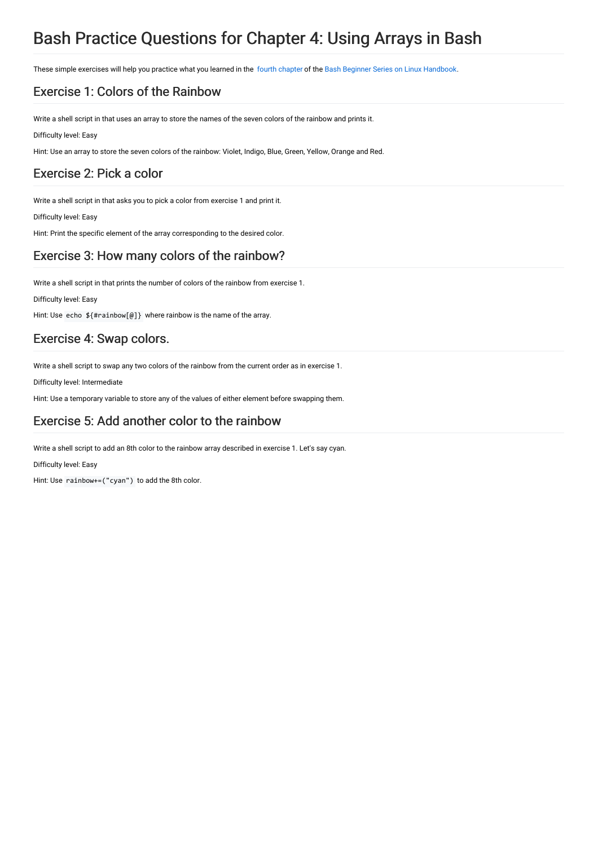# Bash Practice Questions for Chapter 4: Using Arrays in Bash

These simple exercises will help you practice what you learned in the fourth [chapter](https://linuxhandbook.com/bash-arrays/) of the Bash Beginner Series on Linux [Handbook](https://linuxhandbook.com/tag/bash-beginner/).

### Exercise 1: Colors of the Rainbow

Write a shell script in that uses an array to store the names of the seven colors of the rainbow and prints it.

Difficulty level: Easy

Hint: Use an array to store the seven colors of the rainbow: Violet, Indigo, Blue, Green, Yellow, Orange and Red.

#### Exercise 2: Pick a color

Write a shell script in that asks you to pick a color from exercise 1 and print it.

Difficulty level: Easy

Hint: Print the specific element of the array corresponding to the desired color.

## Exercise 3: How many colors of the rainbow?

Write a shell script in that prints the number of colors of the rainbow from exercise 1.

Difficulty level: Easy

Hint: Use echo \${#rainbow[@]} where rainbow is the name of the array.

#### Exercise 4: Swap colors.

Write a shell script to swap any two colors of the rainbow from the current order as in exercise 1.

Difficulty level: Intermediate

Hint: Use a temporary variable to store any of the values of either element before swapping them.

#### Exercise 5: Add another color to the rainbow

Write a shell script to add an 8th color to the rainbow array described in exercise 1. Let's say cyan.

Difficulty level: Easy

Hint: Use rainbow+=("cyan") to add the 8th color.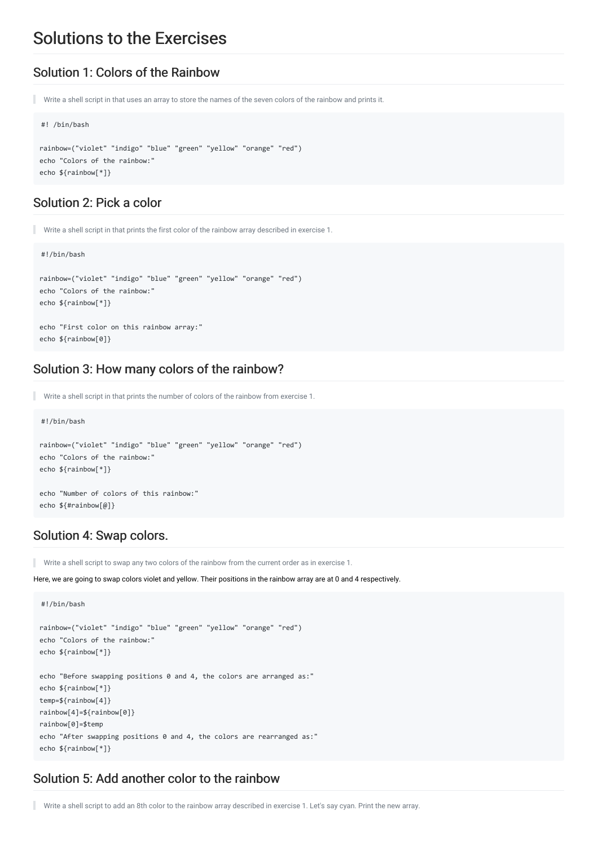## Solutions to the Exercises

#### Solution 1: Colors of the Rainbow

Write a shell script in that uses an array to store the names of the seven colors of the rainbow and prints it.

```
#! /bin/bash
```

```
rainbow=("violet" "indigo" "blue" "green" "yellow" "orange" "red")
echo "Colors of the rainbow:"
echo ${rainbow[*]}
```
#### Solution 2: Pick a color

```
Write a shell script in that prints the first color of the rainbow array described in exercise 1.
```
#### #!/bin/bash

```
rainbow=("violet" "indigo" "blue" "green" "yellow" "orange" "red")
echo "Colors of the rainbow:"
echo ${rainbow[*]}
echo "First color on this rainbow array:"
```
echo \${rainbow[0]}

#### Solution 3: How many colors of the rainbow?

```
Write a shell script in that prints the number of colors of the rainbow from exercise 1.
```

```
#!/bin/bash
rainbow=("violet" "indigo" "blue" "green" "yellow" "orange" "red")
echo "Colors of the rainbow:"
echo ${rainbow[*]}
echo "Number of colors of this rainbow:"
echo ${#rainbow[@]}
```
#### Solution 4: Swap colors.

٠ Write a shell script to swap any two colors of the rainbow from the current order as in exercise 1.

Here, we are going to swap colors violet and yellow. Their positions in the rainbow array are at 0 and 4 respectively.

```
#!/bin/bash
rainbow=("violet" "indigo" "blue" "green" "yellow" "orange" "red")
echo "Colors of the rainbow:"
echo ${rainbow[*]}
echo "Before swapping positions 0 and 4, the colors are arranged as:"
echo ${rainbow[*]}
temp=${rainbow[4]}
rainbow[4]=${rainbow[0]}
rainbow[0]=$temp
echo "After swapping positions 0 and 4, the colors are rearranged as:"
echo ${rainbow[*]}
```
#### Solution 5: Add another color to the rainbow